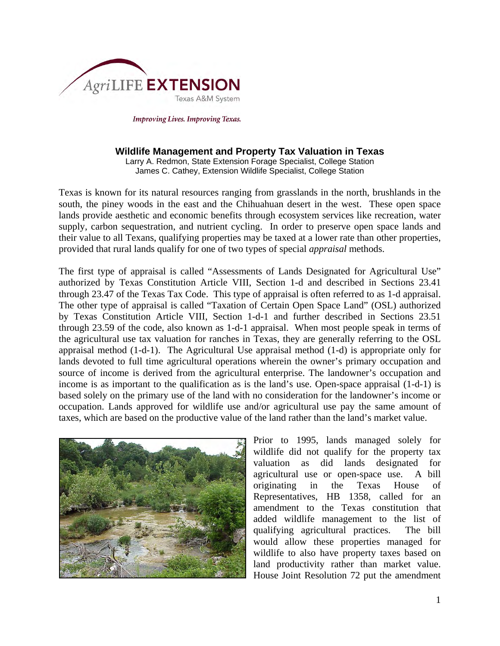

**Improving Lives. Improving Texas.** 

#### **Wildlife Management and Property Tax Valuation in Texas**

Larry A. Redmon, State Extension Forage Specialist, College Station James C. Cathey, Extension Wildlife Specialist, College Station

Texas is known for its natural resources ranging from grasslands in the north, brushlands in the south, the piney woods in the east and the Chihuahuan desert in the west. These open space lands provide aesthetic and economic benefits through ecosystem services like recreation, water supply, carbon sequestration, and nutrient cycling. In order to preserve open space lands and their value to all Texans, qualifying properties may be taxed at a lower rate than other properties, provided that rural lands qualify for one of two types of special *appraisal* methods.

The first type of appraisal is called "Assessments of Lands Designated for Agricultural Use" authorized by Texas Constitution Article VIII, Section 1-d and described in Sections 23.41 through 23.47 of the Texas Tax Code. This type of appraisal is often referred to as 1-d appraisal. The other type of appraisal is called "Taxation of Certain Open Space Land" (OSL) authorized by Texas Constitution Article VIII, Section 1-d-1 and further described in Sections 23.51 through 23.59 of the code, also known as 1-d-1 appraisal. When most people speak in terms of the agricultural use tax valuation for ranches in Texas, they are generally referring to the OSL appraisal method (1-d-1). The Agricultural Use appraisal method (1-d) is appropriate only for lands devoted to full time agricultural operations wherein the owner's primary occupation and source of income is derived from the agricultural enterprise. The landowner's occupation and income is as important to the qualification as is the land's use. Open-space appraisal (1-d-1) is based solely on the primary use of the land with no consideration for the landowner's income or occupation. Lands approved for wildlife use and/or agricultural use pay the same amount of taxes, which are based on the productive value of the land rather than the land's market value.



Prior to 1995, lands managed solely for wildlife did not qualify for the property tax valuation as did lands designated for agricultural use or open-space use. A bill originating in the Texas House of Representatives, HB 1358, called for an amendment to the Texas constitution that added wildlife management to the list of qualifying agricultural practices. The bill would allow these properties managed for wildlife to also have property taxes based on land productivity rather than market value. House Joint Resolution 72 put the amendment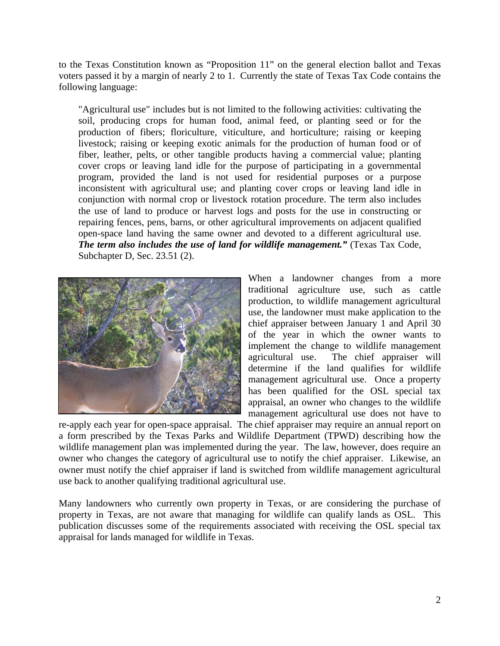to the Texas Constitution known as "Proposition 11" on the general election ballot and Texas voters passed it by a margin of nearly 2 to 1. Currently the state of Texas Tax Code contains the following language:

"Agricultural use" includes but is not limited to the following activities: cultivating the soil, producing crops for human food, animal feed, or planting seed or for the production of fibers; floriculture, viticulture, and horticulture; raising or keeping livestock; raising or keeping exotic animals for the production of human food or of fiber, leather, pelts, or other tangible products having a commercial value; planting cover crops or leaving land idle for the purpose of participating in a governmental program, provided the land is not used for residential purposes or a purpose inconsistent with agricultural use; and planting cover crops or leaving land idle in conjunction with normal crop or livestock rotation procedure. The term also includes the use of land to produce or harvest logs and posts for the use in constructing or repairing fences, pens, barns, or other agricultural improvements on adjacent qualified open-space land having the same owner and devoted to a different agricultural use. *The term also includes the use of land for wildlife management."* (Texas Tax Code, Subchapter D, Sec. 23.51 (2).



When a landowner changes from a more traditional agriculture use, such as cattle production, to wildlife management agricultural use, the landowner must make application to the chief appraiser between January 1 and April 30 of the year in which the owner wants to implement the change to wildlife management agricultural use. The chief appraiser will determine if the land qualifies for wildlife management agricultural use. Once a property has been qualified for the OSL special tax appraisal, an owner who changes to the wildlife management agricultural use does not have to

re-apply each year for open-space appraisal. The chief appraiser may require an annual report on a form prescribed by the Texas Parks and Wildlife Department (TPWD) describing how the wildlife management plan was implemented during the year. The law, however, does require an owner who changes the category of agricultural use to notify the chief appraiser. Likewise, an owner must notify the chief appraiser if land is switched from wildlife management agricultural use back to another qualifying traditional agricultural use.

Many landowners who currently own property in Texas, or are considering the purchase of property in Texas, are not aware that managing for wildlife can qualify lands as OSL. This publication discusses some of the requirements associated with receiving the OSL special tax appraisal for lands managed for wildlife in Texas.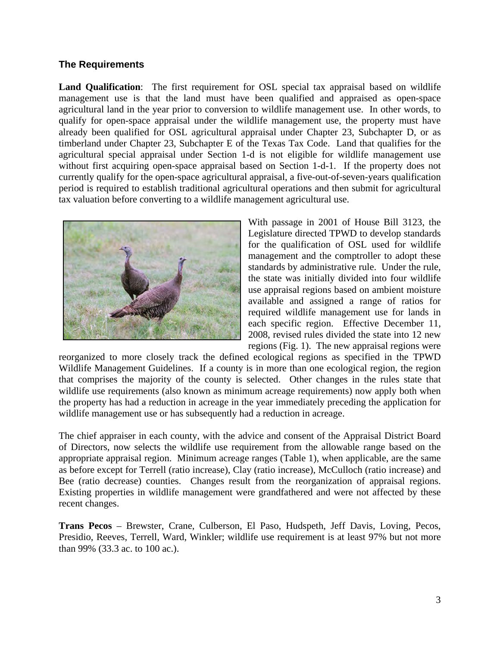### **The Requirements**

**Land Qualification**: The first requirement for OSL special tax appraisal based on wildlife management use is that the land must have been qualified and appraised as open-space agricultural land in the year prior to conversion to wildlife management use. In other words, to qualify for open-space appraisal under the wildlife management use, the property must have already been qualified for OSL agricultural appraisal under Chapter 23, Subchapter D, or as timberland under Chapter 23, Subchapter E of the Texas Tax Code. Land that qualifies for the agricultural special appraisal under Section 1-d is not eligible for wildlife management use without first acquiring open-space appraisal based on Section 1-d-1. If the property does not currently qualify for the open-space agricultural appraisal, a five-out-of-seven-years qualification period is required to establish traditional agricultural operations and then submit for agricultural tax valuation before converting to a wildlife management agricultural use.



With passage in 2001 of House Bill 3123, the Legislature directed TPWD to develop standards for the qualification of OSL used for wildlife management and the comptroller to adopt these standards by administrative rule. Under the rule, the state was initially divided into four wildlife use appraisal regions based on ambient moisture available and assigned a range of ratios for required wildlife management use for lands in each specific region. Effective December 11, 2008, revised rules divided the state into 12 new regions (Fig. 1). The new appraisal regions were

reorganized to more closely track the defined ecological regions as specified in the TPWD Wildlife Management Guidelines. If a county is in more than one ecological region, the region that comprises the majority of the county is selected. Other changes in the rules state that wildlife use requirements (also known as minimum acreage requirements) now apply both when the property has had a reduction in acreage in the year immediately preceding the application for wildlife management use or has subsequently had a reduction in acreage.

The chief appraiser in each county, with the advice and consent of the Appraisal District Board of Directors, now selects the wildlife use requirement from the allowable range based on the appropriate appraisal region. Minimum acreage ranges (Table 1), when applicable, are the same as before except for Terrell (ratio increase), Clay (ratio increase), McCulloch (ratio increase) and Bee (ratio decrease) counties. Changes result from the reorganization of appraisal regions. Existing properties in wildlife management were grandfathered and were not affected by these recent changes.

**Trans Pecos** – Brewster, Crane, Culberson, El Paso, Hudspeth, Jeff Davis, Loving, Pecos, Presidio, Reeves, Terrell, Ward, Winkler; wildlife use requirement is at least 97% but not more than 99% (33.3 ac. to 100 ac.).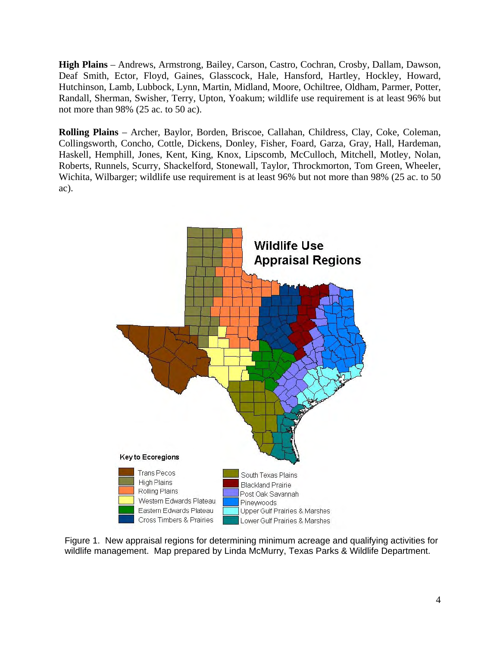**High Plains** – Andrews, Armstrong, Bailey, Carson, Castro, Cochran, Crosby, Dallam, Dawson, Deaf Smith, Ector, Floyd, Gaines, Glasscock, Hale, Hansford, Hartley, Hockley, Howard, Hutchinson, Lamb, Lubbock, Lynn, Martin, Midland, Moore, Ochiltree, Oldham, Parmer, Potter, Randall, Sherman, Swisher, Terry, Upton, Yoakum; wildlife use requirement is at least 96% but not more than 98% (25 ac. to 50 ac).

**Rolling Plains** – Archer, Baylor, Borden, Briscoe, Callahan, Childress, Clay, Coke, Coleman, Collingsworth, Concho, Cottle, Dickens, Donley, Fisher, Foard, Garza, Gray, Hall, Hardeman, Haskell, Hemphill, Jones, Kent, King, Knox, Lipscomb, McCulloch, Mitchell, Motley, Nolan, Roberts, Runnels, Scurry, Shackelford, Stonewall, Taylor, Throckmorton, Tom Green, Wheeler, Wichita, Wilbarger; wildlife use requirement is at least 96% but not more than 98% (25 ac. to 50 ac).



Figure 1. New appraisal regions for determining minimum acreage and qualifying activities for wildlife management. Map prepared by Linda McMurry, Texas Parks & Wildlife Department.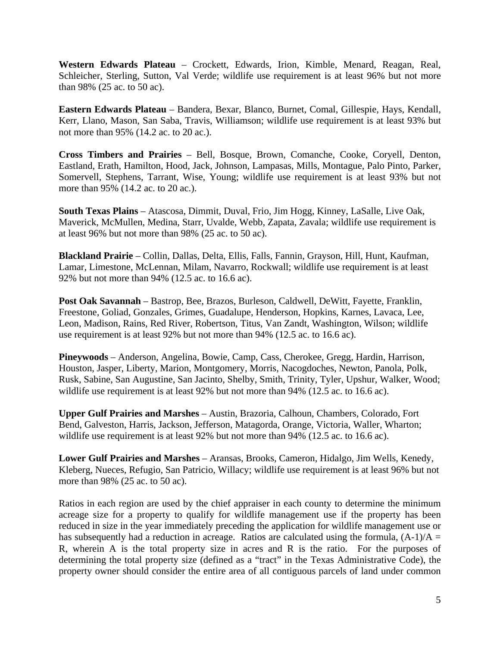**Western Edwards Plateau** – Crockett, Edwards, Irion, Kimble, Menard, Reagan, Real, Schleicher, Sterling, Sutton, Val Verde; wildlife use requirement is at least 96% but not more than 98% (25 ac. to 50 ac).

**Eastern Edwards Plateau** – Bandera, Bexar, Blanco, Burnet, Comal, Gillespie, Hays, Kendall, Kerr, Llano, Mason, San Saba, Travis, Williamson; wildlife use requirement is at least 93% but not more than 95% (14.2 ac. to 20 ac.).

**Cross Timbers and Prairies** – Bell, Bosque, Brown, Comanche, Cooke, Coryell, Denton, Eastland, Erath, Hamilton, Hood, Jack, Johnson, Lampasas, Mills, Montague, Palo Pinto, Parker, Somervell, Stephens, Tarrant, Wise, Young; wildlife use requirement is at least 93% but not more than 95% (14.2 ac. to 20 ac.).

**South Texas Plains** – Atascosa, Dimmit, Duval, Frio, Jim Hogg, Kinney, LaSalle, Live Oak, Maverick, McMullen, Medina, Starr, Uvalde, Webb, Zapata, Zavala; wildlife use requirement is at least 96% but not more than 98% (25 ac. to 50 ac).

**Blackland Prairie** – Collin, Dallas, Delta, Ellis, Falls, Fannin, Grayson, Hill, Hunt, Kaufman, Lamar, Limestone, McLennan, Milam, Navarro, Rockwall; wildlife use requirement is at least 92% but not more than 94% (12.5 ac. to 16.6 ac).

**Post Oak Savannah** – Bastrop, Bee, Brazos, Burleson, Caldwell, DeWitt, Fayette, Franklin, Freestone, Goliad, Gonzales, Grimes, Guadalupe, Henderson, Hopkins, Karnes, Lavaca, Lee, Leon, Madison, Rains, Red River, Robertson, Titus, Van Zandt, Washington, Wilson; wildlife use requirement is at least 92% but not more than 94% (12.5 ac. to 16.6 ac).

**Pineywoods** – Anderson, Angelina, Bowie, Camp, Cass, Cherokee, Gregg, Hardin, Harrison, Houston, Jasper, Liberty, Marion, Montgomery, Morris, Nacogdoches, Newton, Panola, Polk, Rusk, Sabine, San Augustine, San Jacinto, Shelby, Smith, Trinity, Tyler, Upshur, Walker, Wood; wildlife use requirement is at least 92% but not more than 94% (12.5 ac. to 16.6 ac).

**Upper Gulf Prairies and Marshes** – Austin, Brazoria, Calhoun, Chambers, Colorado, Fort Bend, Galveston, Harris, Jackson, Jefferson, Matagorda, Orange, Victoria, Waller, Wharton; wildlife use requirement is at least 92% but not more than 94% (12.5 ac. to 16.6 ac).

**Lower Gulf Prairies and Marshes** – Aransas, Brooks, Cameron, Hidalgo, Jim Wells, Kenedy, Kleberg, Nueces, Refugio, San Patricio, Willacy; wildlife use requirement is at least 96% but not more than 98% (25 ac. to 50 ac).

Ratios in each region are used by the chief appraiser in each county to determine the minimum acreage size for a property to qualify for wildlife management use if the property has been reduced in size in the year immediately preceding the application for wildlife management use or has subsequently had a reduction in acreage. Ratios are calculated using the formula,  $(A-1)/A =$ R, wherein A is the total property size in acres and R is the ratio. For the purposes of determining the total property size (defined as a "tract" in the Texas Administrative Code), the property owner should consider the entire area of all contiguous parcels of land under common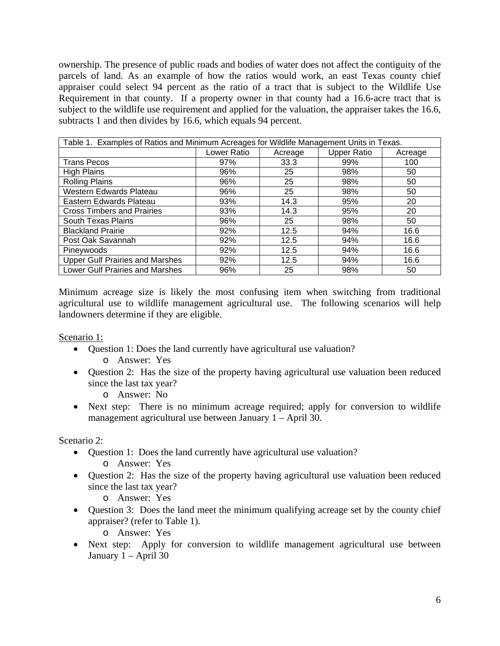ownership. The presence of public roads and bodies of water does not affect the contiguity of the parcels of land. As an example of how the ratios would work, an east Texas county chief appraiser could select 94 percent as the ratio of a tract that is subject to the Wildlife Use Requirement in that county. If a property owner in that county had a 16.6-acre tract that is subject to the wildlife use requirement and applied for the valuation, the appraiser takes the 16.6, subtracts 1 and then divides by 16.6, which equals 94 percent.

| Table 1. Examples of Ratios and Minimum Acreages for Wildlife Management Units in Texas. |             |         |                    |         |
|------------------------------------------------------------------------------------------|-------------|---------|--------------------|---------|
|                                                                                          | Lower Ratio | Acreage | <b>Upper Ratio</b> | Acreage |
| <b>Trans Pecos</b>                                                                       | 97%         | 33.3    | 99%                | 100     |
| High Plains                                                                              | 96%         | 25      | 98%                | 50      |
| <b>Rolling Plains</b>                                                                    | 96%         | 25      | 98%                | 50      |
| Western Edwards Plateau                                                                  | 96%         | 25      | 98%                | 50      |
| Eastern Edwards Plateau                                                                  | 93%         | 14.3    | 95%                | 20      |
| <b>Cross Timbers and Prairies</b>                                                        | 93%         | 14.3    | 95%                | 20      |
| South Texas Plains                                                                       | 96%         | 25      | 98%                | 50      |
| <b>Blackland Prairie</b>                                                                 | 92%         | 12.5    | 94%                | 16.6    |
| Post Oak Savannah                                                                        | 92%         | 12.5    | 94%                | 16.6    |
| Pineywoods                                                                               | 92%         | 12.5    | 94%                | 16.6    |
| <b>Upper Gulf Prairies and Marshes</b>                                                   | 92%         | 12.5    | 94%                | 16.6    |
| <b>Lower Gulf Prairies and Marshes</b>                                                   | 96%         | 25      | 98%                | 50      |

Minimum acreage size is likely the most confusing item when switching from traditional agricultural use to wildlife management agricultural use. The following scenarios will help landowners determine if they are eligible.

Scenario 1:

- Question 1: Does the land currently have agricultural use valuation? o Answer: Yes
- Question 2: Has the size of the property having agricultural use valuation been reduced since the last tax year?
	- o Answer: No
- Next step: There is no minimum acreage required; apply for conversion to wildlife management agricultural use between January 1 – April 30.

Scenario 2:

Question 1: Does the land currently have agricultural use valuation?

o Answer: Yes

 Question 2: Has the size of the property having agricultural use valuation been reduced since the last tax year?

o Answer: Yes

• Question 3: Does the land meet the minimum qualifying acreage set by the county chief appraiser? (refer to Table 1).

o Answer: Yes

• Next step: Apply for conversion to wildlife management agricultural use between January 1 – April 30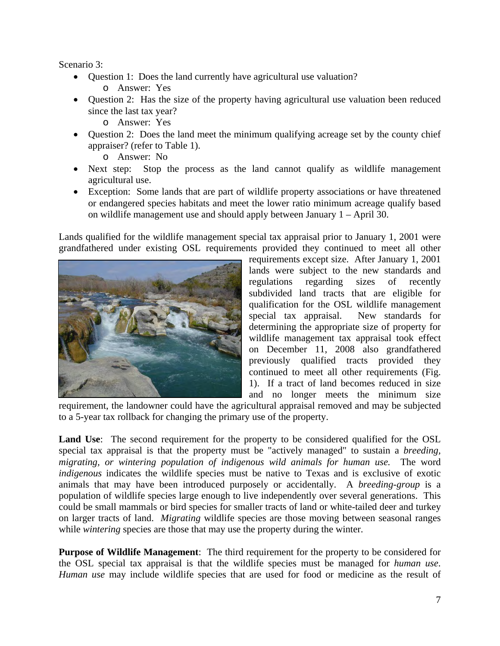Scenario 3:

Question 1: Does the land currently have agricultural use valuation?

o Answer: Yes

- Question 2: Has the size of the property having agricultural use valuation been reduced since the last tax year?
	- o Answer: Yes
- Question 2: Does the land meet the minimum qualifying acreage set by the county chief appraiser? (refer to Table 1).
	- o Answer: No
- Next step: Stop the process as the land cannot qualify as wildlife management agricultural use.
- Exception: Some lands that are part of wildlife property associations or have threatened or endangered species habitats and meet the lower ratio minimum acreage qualify based on wildlife management use and should apply between January 1 – April 30.

Lands qualified for the wildlife management special tax appraisal prior to January 1, 2001 were grandfathered under existing OSL requirements provided they continued to meet all other



requirements except size. After January 1, 2001 lands were subject to the new standards and regulations regarding sizes of recently subdivided land tracts that are eligible for qualification for the OSL wildlife management special tax appraisal. New standards for determining the appropriate size of property for wildlife management tax appraisal took effect on December 11, 2008 also grandfathered previously qualified tracts provided they continued to meet all other requirements (Fig. 1). If a tract of land becomes reduced in size and no longer meets the minimum size

requirement, the landowner could have the agricultural appraisal removed and may be subjected to a 5-year tax rollback for changing the primary use of the property.

**Land Use**: The second requirement for the property to be considered qualified for the OSL special tax appraisal is that the property must be "actively managed" to sustain a *breeding, migrating, or wintering population of indigenous wild animals for human use.* The word *indigenous* indicates the wildlife species must be native to Texas and is exclusive of exotic animals that may have been introduced purposely or accidentally. A *breeding*-*group* is a population of wildlife species large enough to live independently over several generations. This could be small mammals or bird species for smaller tracts of land or white-tailed deer and turkey on larger tracts of land. *Migrating* wildlife species are those moving between seasonal ranges while *wintering* species are those that may use the property during the winter.

**Purpose of Wildlife Management**: The third requirement for the property to be considered for the OSL special tax appraisal is that the wildlife species must be managed for *human use*. *Human use* may include wildlife species that are used for food or medicine as the result of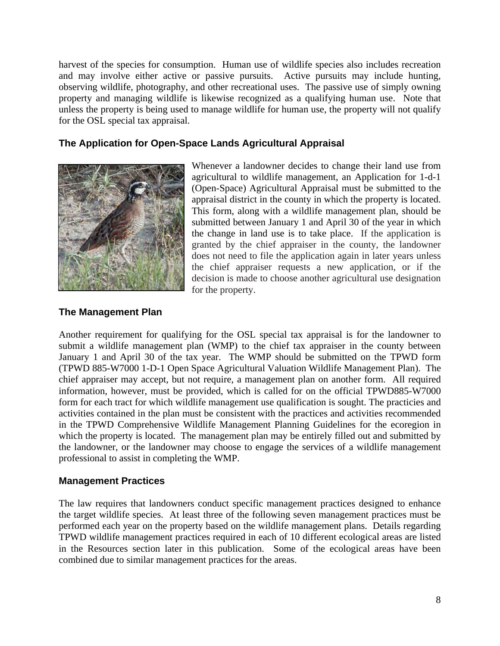harvest of the species for consumption. Human use of wildlife species also includes recreation and may involve either active or passive pursuits. Active pursuits may include hunting, observing wildlife, photography, and other recreational uses. The passive use of simply owning property and managing wildlife is likewise recognized as a qualifying human use. Note that unless the property is being used to manage wildlife for human use, the property will not qualify for the OSL special tax appraisal.

## **The Application for Open-Space Lands Agricultural Appraisal**



Whenever a landowner decides to change their land use from agricultural to wildlife management, an Application for 1-d-1 (Open-Space) Agricultural Appraisal must be submitted to the appraisal district in the county in which the property is located. This form, along with a wildlife management plan, should be submitted between January 1 and April 30 of the year in which the change in land use is to take place. If the application is granted by the chief appraiser in the county, the landowner does not need to file the application again in later years unless the chief appraiser requests a new application, or if the decision is made to choose another agricultural use designation for the property.

### **The Management Plan**

Another requirement for qualifying for the OSL special tax appraisal is for the landowner to submit a wildlife management plan (WMP) to the chief tax appraiser in the county between January 1 and April 30 of the tax year. The WMP should be submitted on the TPWD form (TPWD 885-W7000 1-D-1 Open Space Agricultural Valuation Wildlife Management Plan). The chief appraiser may accept, but not require, a management plan on another form. All required information, however, must be provided, which is called for on the official TPWD885-W7000 form for each tract for which wildlife management use qualification is sought. The practicies and activities contained in the plan must be consistent with the practices and activities recommended in the TPWD Comprehensive Wildlife Management Planning Guidelines for the ecoregion in which the property is located. The management plan may be entirely filled out and submitted by the landowner, or the landowner may choose to engage the services of a wildlife management professional to assist in completing the WMP.

### **Management Practices**

The law requires that landowners conduct specific management practices designed to enhance the target wildlife species. At least three of the following seven management practices must be performed each year on the property based on the wildlife management plans. Details regarding TPWD wildlife management practices required in each of 10 different ecological areas are listed in the Resources section later in this publication. Some of the ecological areas have been combined due to similar management practices for the areas.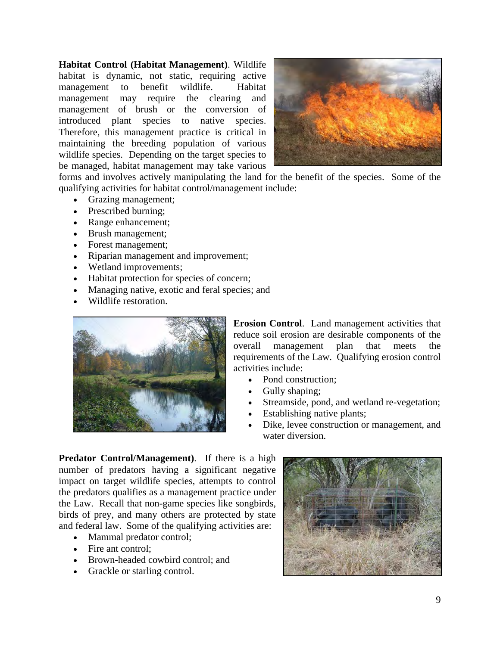**Habitat Control (Habitat Management)**. Wildlife habitat is dynamic, not static, requiring active management to benefit wildlife. Habitat management may require the clearing and management of brush or the conversion of introduced plant species to native species. Therefore, this management practice is critical in maintaining the breeding population of various wildlife species. Depending on the target species to be managed, habitat management may take various



forms and involves actively manipulating the land for the benefit of the species. Some of the qualifying activities for habitat control/management include:

- Grazing management;
- Prescribed burning;
- Range enhancement;
- Brush management;
- Forest management;
- Riparian management and improvement;
- Wetland improvements;
- Habitat protection for species of concern;
- Managing native, exotic and feral species; and
- Wildlife restoration.



**Erosion Control**. Land management activities that reduce soil erosion are desirable components of the overall management plan that meets the requirements of the Law. Qualifying erosion control activities include:

- Pond construction;
- Gully shaping;
- Streamside, pond, and wetland re-vegetation;
- Establishing native plants;
- Dike, levee construction or management, and water diversion.

**Predator Control/Management)**. If there is a high number of predators having a significant negative impact on target wildlife species, attempts to control the predators qualifies as a management practice under the Law. Recall that non-game species like songbirds, birds of prey, and many others are protected by state and federal law. Some of the qualifying activities are:

- Mammal predator control;
- Fire ant control:
- Brown-headed cowbird control; and
- Grackle or starling control.

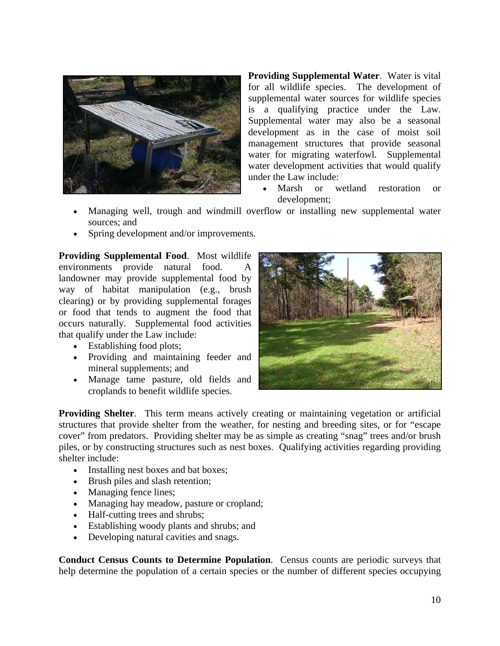

**Providing Supplemental Water**. Water is vital for all wildlife species. The development of supplemental water sources for wildlife species is a qualifying practice under the Law. Supplemental water may also be a seasonal development as in the case of moist soil management structures that provide seasonal water for migrating waterfowl. Supplemental water development activities that would qualify under the Law include:

- Marsh or wetland restoration or development;
- Managing well, trough and windmill overflow or installing new supplemental water sources; and
- Spring development and/or improvements.

**Providing Supplemental Food**. Most wildlife environments provide natural food. landowner may provide supplemental food by way of habitat manipulation (e.g., brush clearing) or by providing supplemental forages or food that tends to augment the food that occurs naturally. Supplemental food activities that qualify under the Law include:

- Establishing food plots;
- Providing and maintaining feeder and mineral supplements; and
- Manage tame pasture, old fields and croplands to benefit wildlife species.



**Providing Shelter.** This term means actively creating or maintaining vegetation or artificial structures that provide shelter from the weather, for nesting and breeding sites, or for "escape cover" from predators. Providing shelter may be as simple as creating "snag" trees and/or brush piles, or by constructing structures such as nest boxes. Qualifying activities regarding providing shelter include:

- Installing nest boxes and bat boxes;
- Brush piles and slash retention;
- Managing fence lines;
- Managing hay meadow, pasture or cropland;
- Half-cutting trees and shrubs;
- Establishing woody plants and shrubs; and
- Developing natural cavities and snags.

**Conduct Census Counts to Determine Population**. Census counts are periodic surveys that help determine the population of a certain species or the number of different species occupying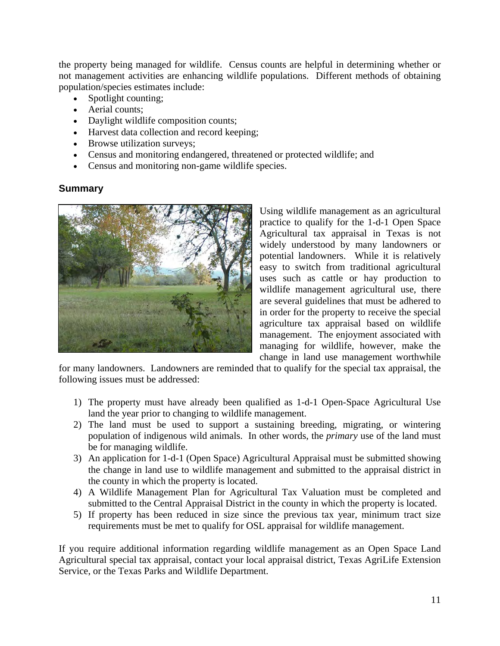the property being managed for wildlife. Census counts are helpful in determining whether or not management activities are enhancing wildlife populations. Different methods of obtaining population/species estimates include:

- Spotlight counting;
- Aerial counts;
- Daylight wildlife composition counts;
- Harvest data collection and record keeping;
- Browse utilization surveys;
- Census and monitoring endangered, threatened or protected wildlife; and
- Census and monitoring non-game wildlife species.

### **Summary**



Using wildlife management as an agricultural practice to qualify for the 1-d-1 Open Space Agricultural tax appraisal in Texas is not widely understood by many landowners or potential landowners. While it is relatively easy to switch from traditional agricultural uses such as cattle or hay production to wildlife management agricultural use, there are several guidelines that must be adhered to in order for the property to receive the special agriculture tax appraisal based on wildlife management. The enjoyment associated with managing for wildlife, however, make the change in land use management worthwhile

for many landowners. Landowners are reminded that to qualify for the special tax appraisal, the following issues must be addressed:

- 1) The property must have already been qualified as 1-d-1 Open-Space Agricultural Use land the year prior to changing to wildlife management.
- 2) The land must be used to support a sustaining breeding, migrating, or wintering population of indigenous wild animals. In other words, the *primary* use of the land must be for managing wildlife.
- 3) An application for 1-d-1 (Open Space) Agricultural Appraisal must be submitted showing the change in land use to wildlife management and submitted to the appraisal district in the county in which the property is located.
- 4) A Wildlife Management Plan for Agricultural Tax Valuation must be completed and submitted to the Central Appraisal District in the county in which the property is located.
- 5) If property has been reduced in size since the previous tax year, minimum tract size requirements must be met to qualify for OSL appraisal for wildlife management.

If you require additional information regarding wildlife management as an Open Space Land Agricultural special tax appraisal, contact your local appraisal district, Texas AgriLife Extension Service, or the Texas Parks and Wildlife Department.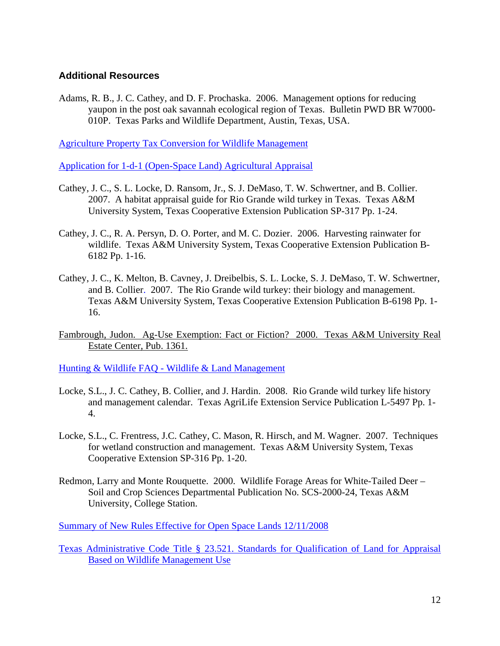### **Additional Resources**

Adams, R. B., J. C. Cathey, and D. F. Prochaska. 2006. Management options for reducing yaupon in the post oak savannah ecological region of Texas. Bulletin PWD BR W7000- 010P. Texas Parks and Wildlife Department, Austin, Texas, USA.

[Agriculture Property Tax Conversion for Wildlife Management](http://www.tpwd.state.tx.us/landwater/land/private/agricultural_land/)

[Application for 1-d-1 \(Open-Space Land\) Agricultural Appraisal](http://www.window.state.tx.us/taxinfo/taxforms/50-129.pdf)

- Cathey, J. C., S. L. Locke, D. Ransom, Jr., S. J. DeMaso, T. W. Schwertner, and B. Collier. 2007. A habitat appraisal guide for Rio Grande wild turkey in Texas. Texas A&M University System, Texas Cooperative Extension Publication SP-317 Pp. 1-24.
- Cathey, J. C., R. A. Persyn, D. O. Porter, and M. C. Dozier. 2006. Harvesting rainwater for wildlife. Texas A&M University System, Texas Cooperative Extension Publication B-6182 Pp. 1-16.
- Cathey, J. C., K. Melton, B. Cavney, J. Dreibelbis, S. L. Locke, S. J. DeMaso, T. W. Schwertner, and B. Collier. 2007. The Rio Grande wild turkey: their biology and management. Texas A&M University System, Texas Cooperative Extension Publication B-6198 Pp. 1- 16.
- Fambrough, Judon. Ag-Use Exemption: Fact or Fiction? 2000. Texas A&M University Real Estate Center, Pub. 1361.

[Hunting & Wildlife FAQ - Wildlife & Land Management](http://www.tpwd.state.tx.us/faq/huntwild/wildlife_land_management.phtml)

- Locke, S.L., J. C. Cathey, B. Collier, and J. Hardin. 2008. Rio Grande wild turkey life history and management calendar. Texas AgriLife Extension Service Publication L-5497 Pp. 1- 4.
- Locke, S.L., C. Frentress, J.C. Cathey, C. Mason, R. Hirsch, and M. Wagner. 2007. Techniques for wetland construction and management. Texas A&M University System, Texas Cooperative Extension SP-316 Pp. 1-20.
- Redmon, Larry and Monte Rouquette. 2000. Wildlife Forage Areas for White-Tailed Deer Soil and Crop Sciences Departmental Publication No. SCS-2000-24, Texas A&M University, College Station.

[Summary of New Rules Effective for Open Space Lands 12/11/2008](http://www.tpwd.state.tx.us/landwater/land/private/agricultural_land/newrules/)

[Texas Administrative Code Title § 23.521. Standards for Qualification of Land for Appraisal](http://www.window.state.tx.us/taxinfo/proptax/96-297-09.pdf)  [Based on Wildlife Management Use](http://www.window.state.tx.us/taxinfo/proptax/96-297-09.pdf)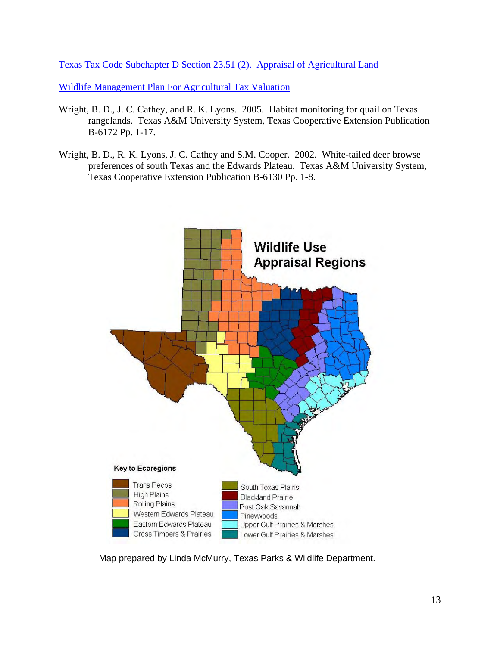[Texas Tax Code Subchapter D Section 23.51 \(2\). Appraisal of Agricultural Land](http://www.statutes.legis.state.tx.us/Docs/TX/htm/TX.23.htm#23.51)

[Wildlife Management Plan For Agricultural Tax Valuation](http://www.tpwd.state.tx.us/publications/pwdforms/media/pwd_885_w7000_open_space_agric_valuation_wildlife_mgmt_plan.pdf)

- Wright, B. D., J. C. Cathey, and R. K. Lyons. 2005. Habitat monitoring for quail on Texas rangelands. Texas A&M University System, Texas Cooperative Extension Publication B-6172 Pp. 1-17.
- Wright, B. D., R. K. Lyons, J. C. Cathey and S.M. Cooper. 2002. White-tailed deer browse preferences of south Texas and the Edwards Plateau. Texas A&M University System, Texas Cooperative Extension Publication B-6130 Pp. 1-8.



Map prepared by Linda McMurry, Texas Parks & Wildlife Department.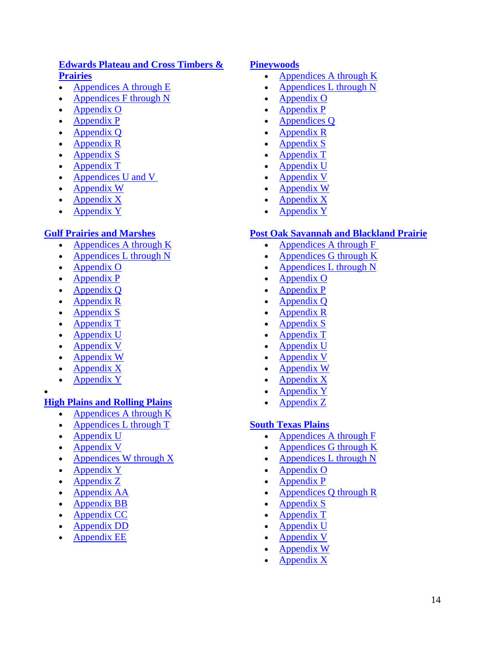# **[Edwards Plateau and Cross Timbers &](http://www.tpwd.state.tx.us/publications/pwdpubs/media/pwd_bk_w7000_0788_main.pdf)  [Prairies](http://www.tpwd.state.tx.us/publications/pwdpubs/media/pwd_bk_w7000_0788_main.pdf)**

- Appendices A through E
- [Appendices F through N](http://www.tpwd.state.tx.us/publications/pwdpubs/media/pwd_bk_w7000_0788_f-n.pdf)
- [Appendix O](http://www.tpwd.state.tx.us/publications/pwdpubs/media/pwd_bk_w7000_0788_o.pdf)
- [Appendix P](http://www.tpwd.state.tx.us/publications/pwdpubs/media/pwd_bk_w7000_0788_p.pdf)
- Appendix Q
- [Appendix R](http://www.tpwd.state.tx.us/publications/pwdpubs/media/pwd_bk_w7000_0788_r.pdf)
- $\triangle$  [Appendix S](http://www.tpwd.state.tx.us/publications/pwdpubs/media/pwd_bk_w7000_0788_s.pdf)
- [Appendix T](http://www.tpwd.state.tx.us/publications/pwdpubs/media/pwd_bk_w7000_0788_t.pdf)
- Appendices U and V
- [Appendix W](http://www.tpwd.state.tx.us/publications/pwdpubs/media/pwd_bk_w7000_0788_w.pdf)
- Appendix X
- Appendix Y

# **[Gulf Prairies and Marshes](http://www.tpwd.state.tx.us/publications/pwdpubs/media/pwd_bk_w7000_0792_main.pdf)**

- [Appendices A through K](http://www.tpwd.state.tx.us/publications/pwdpubs/media/pwd_bk_w7000_0792_a-k.pdf)
- Appendices L through N
- Appendix O
- [Appendix P](http://www.tpwd.state.tx.us/publications/pwdpubs/media/pwd_bk_w7000_0792_p.pdf)
- Appendix Q
- [Appendix R](http://www.tpwd.state.tx.us/publications/pwdpubs/media/pwd_bk_w7000_0792_r.pdf)
- [Appendix S](http://www.tpwd.state.tx.us/publications/pwdpubs/media/pwd_bk_w7000_0792_s.pdf)
- [Appendix T](http://www.tpwd.state.tx.us/publications/pwdpubs/media/pwd_bk_w7000_0792_t.pdf)
- Appendix U
- Appendix V
- **Appendix W**
- Appendix X
- Appendix Y
- $\bullet$

# **[High Plains and Rolling Plains](http://www.tpwd.state.tx.us/publications/pwdpubs/media/pwd_bk_w7000_0793_main.pdf)**

- [Appendices A through K](http://www.tpwd.state.tx.us/publications/pwdpubs/media/pwd_bk_w7000_0793_a-k.pdf)
- Appendices L through T
- Appendix U
- Appendix V
- Appendices W through X
- Appendix Y
- Appendix Z
- Appendix AA
- [Appendix BB](http://www.tpwd.state.tx.us/publications/pwdpubs/media/pwd_bk_w7000_0793_bb.pdf)
- [Appendix CC](http://www.tpwd.state.tx.us/publications/pwdpubs/media/pwd_bk_w7000_0793_cc.pdf)
- Appendix DD
- [Appendix EE](http://www.tpwd.state.tx.us/publications/pwdpubs/media/pwd_bk_w7000_0793_ee.pdf)

#### **[Pineywoods](http://www.tpwd.state.tx.us/publications/pwdpubs/media/pwd_bk_w7000_0790_main.pdf)**

- Appendices A through  $K$
- Appendices L through N
- Appendix O
- [Appendix P](http://www.tpwd.state.tx.us/publications/pwdpubs/media/pwd_bk_w7000_0790_p.pdf)
- **[Appendices Q](http://www.tpwd.state.tx.us/publications/pwdpubs/media/pwd_bk_w7000_0790_q.pdf)**
- [Appendix R](http://www.tpwd.state.tx.us/publications/pwdpubs/media/pwd_bk_w7000_0790_r.pdf)
- [Appendix S](http://www.tpwd.state.tx.us/publications/pwdpubs/media/pwd_bk_w7000_0790_s.pdf)
- [Appendix T](http://www.tpwd.state.tx.us/publications/pwdpubs/media/pwd_bk_w7000_0790_t.pdf)
- [Appendix U](http://www.tpwd.state.tx.us/publications/pwdpubs/media/pwd_bk_w7000_0790_u.pdf)
- Appendix V
- [Appendix W](http://www.tpwd.state.tx.us/publications/pwdpubs/media/pwd_bk_w7000_0790_w.pdf)
- Appendix  $X$
- Appendix Y

### **[Post Oak Savannah and Blackland Prairie](http://www.tpwd.state.tx.us/publications/pwdpubs/media/pwd_bk_w7000_0789_main.pdf)**

- Appendices A through F
- [Appendices G through K](http://www.tpwd.state.tx.us/publications/pwdpubs/media/pwd_bk_w7000_0789_g-k.pdf)
- Appendices L through N
- [Appendix O](http://www.tpwd.state.tx.us/publications/pwdpubs/media/pwd_bk_w7000_0789_o.pdf)
- [Appendix P](http://www.tpwd.state.tx.us/publications/pwdpubs/media/pwd_bk_w7000_0789_p.pdf)
- [Appendix Q](http://www.tpwd.state.tx.us/publications/pwdpubs/media/pwd_bk_w7000_0789_q.pdf)
- [Appendix R](http://www.tpwd.state.tx.us/publications/pwdpubs/media/pwd_bk_w7000_0789_r.pdf)
- [Appendix S](http://www.tpwd.state.tx.us/publications/pwdpubs/media/pwd_bk_w7000_0789_s.pdf)
- [Appendix T](http://www.tpwd.state.tx.us/publications/pwdpubs/media/pwd_bk_w7000_0789_t.pdf)
- [Appendix U](http://www.tpwd.state.tx.us/publications/pwdpubs/media/pwd_bk_w7000_0789_u.pdf)
- [Appendix V](http://www.tpwd.state.tx.us/publications/pwdpubs/media/pwd_bk_w7000_0789_v.pdf)
- [Appendix W](http://www.tpwd.state.tx.us/publications/pwdpubs/media/pwd_bk_w7000_0789_w.pdf)
- Appendix X
- [Appendix Y](http://www.tpwd.state.tx.us/publications/pwdpubs/media/pwd_bk_w7000_0789_y.pdf)
- Appendix Z

### **[South Texas Plains](http://www.tpwd.state.tx.us/publications/pwdpubs/media/pwd_bk_w7000_0791_main.pdf)**

- [Appendices A through F](http://www.tpwd.state.tx.us/publications/pwdpubs/media/pwd_bk_w7000_0791_a-f.pdf)
- [Appendices G through K](http://www.tpwd.state.tx.us/publications/pwdpubs/media/pwd_bk_w7000_0791_g-k.pdf)
- Appendices L through N
- [Appendix O](http://www.tpwd.state.tx.us/publications/pwdpubs/media/pwd_bk_w7000_0791_o.pdf)
- [Appendix P](http://www.tpwd.state.tx.us/publications/pwdpubs/media/pwd_bk_w7000_0791_p.pdf)
- Appendices Q through R
- [Appendix S](http://www.tpwd.state.tx.us/publications/pwdpubs/media/pwd_bk_w7000_0791_s.pdf)
- [Appendix T](http://www.tpwd.state.tx.us/publications/pwdpubs/media/pwd_bk_w7000_0791_t.pdf)
- [Appendix U](http://www.tpwd.state.tx.us/publications/pwdpubs/media/pwd_bk_w7000_0791_u.pdf)
- [Appendix V](http://www.tpwd.state.tx.us/publications/pwdpubs/media/pwd_bk_w7000_0791_v.pdf)
- [Appendix W](http://www.tpwd.state.tx.us/publications/pwdpubs/media/pwd_bk_w7000_0791_w.pdf)
- [Appendix X](http://www.tpwd.state.tx.us/publications/pwdpubs/media/pwd_bk_w7000_0791_x.pdf)